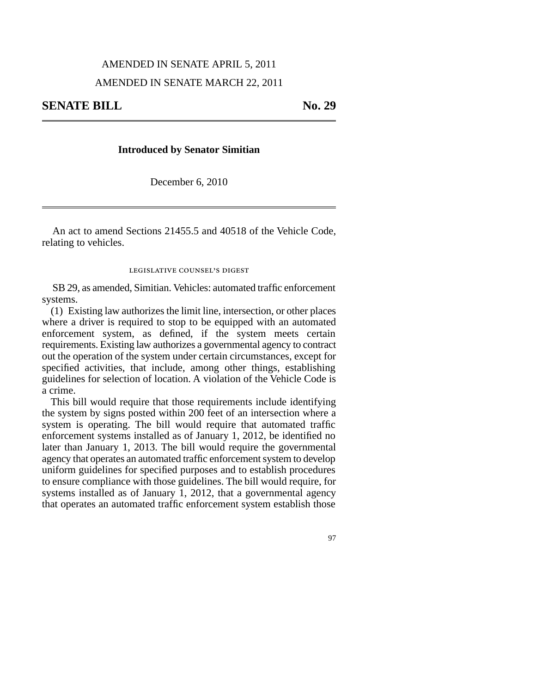## AMENDED IN SENATE APRIL 5, 2011 AMENDED IN SENATE MARCH 22, 2011

## **Introduced by Senator Simitian**

December 6, 2010

An act to amend Sections 21455.5 and 40518 of the Vehicle Code, relating to vehicles.

## legislative counsel' s digest

SB 29, as amended, Simitian. Vehicles: automated traffic enforcement systems.

(1) Existing law authorizes the limit line, intersection, or other places where a driver is required to stop to be equipped with an automated enforcement system, as defined, if the system meets certain requirements. Existing law authorizes a governmental agency to contract out the operation of the system under certain circumstances, except for specified activities, that include, among other things, establishing guidelines for selection of location. A violation of the Vehicle Code is a crime.

This bill would require that those requirements include identifying the system by signs posted within 200 feet of an intersection where a system is operating. The bill would require that automated traffic enforcement systems installed as of January 1, 2012, be identified no later than January 1, 2013. The bill would require the governmental agency that operates an automated traffic enforcement system to develop uniform guidelines for specified purposes and to establish procedures to ensure compliance with those guidelines. The bill would require, for systems installed as of January 1, 2012, that a governmental agency that operates an automated traffic enforcement system establish those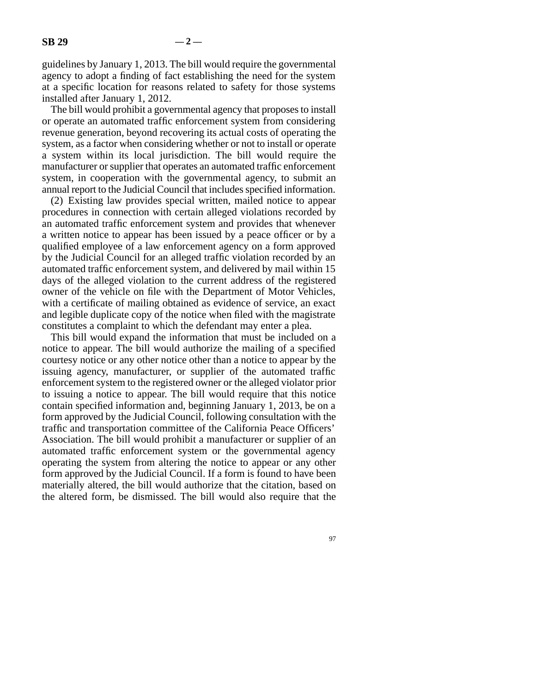guidelines by January 1, 2013. The bill would require the governmental agency to adopt a finding of fact establishing the need for the system at a specific location for reasons related to safety for those systems installed after January 1, 2012.

The bill would prohibit a governmental agency that proposes to install or operate an automated traffic enforcement system from considering revenue generation, beyond recovering its actual costs of operating the system, as a factor when considering whether or not to install or operate a system within its local jurisdiction. The bill would require the manufacturer or supplier that operates an automated traffic enforcement system, in cooperation with the governmental agency, to submit an annual report to the Judicial Council that includes specified information.

(2) Existing law provides special written, mailed notice to appear procedures in connection with certain alleged violations recorded by an automated traffic enforcement system and provides that whenever a written notice to appear has been issued by a peace officer or by a qualified employee of a law enforcement agency on a form approved by the Judicial Council for an alleged traffic violation recorded by an automated traffic enforcement system, and delivered by mail within 15 days of the alleged violation to the current address of the registered owner of the vehicle on file with the Department of Motor Vehicles, with a certificate of mailing obtained as evidence of service, an exact and legible duplicate copy of the notice when filed with the magistrate constitutes a complaint to which the defendant may enter a plea.

This bill would expand the information that must be included on a notice to appear. The bill would authorize the mailing of a specified courtesy notice or any other notice other than a notice to appear by the issuing agency, manufacturer, or supplier of the automated traffic enforcement system to the registered owner or the alleged violator prior to issuing a notice to appear. The bill would require that this notice contain specified information and, beginning January 1, 2013, be on a form approved by the Judicial Council, following consultation with the traffic and transportation committee of the California Peace Officers' Association. The bill would prohibit a manufacturer or supplier of an automated traffic enforcement system or the governmental agency operating the system from altering the notice to appear or any other form approved by the Judicial Council. If a form is found to have been materially altered, the bill would authorize that the citation, based on the altered form, be dismissed. The bill would also require that the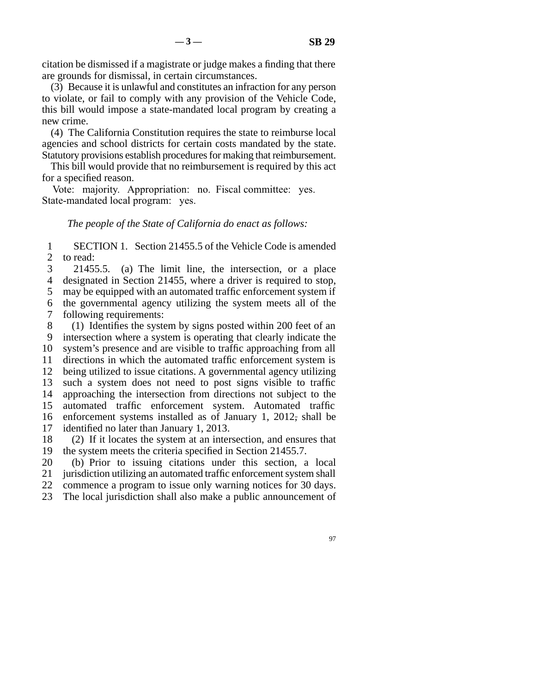citation be dismissed if a magistrate or judge makes a finding that there are grounds for dismissal, in certain circumstances.

(3) Because it is unlawful and constitutes an infraction for any person to violate, or fail to comply with any provision of the Vehicle Code, this bill would impose a state-mandated local program by creating a new crime.

(4) The California Constitution requires the state to reimburse local agencies and school districts for certain costs mandated by the state. Statutory provisions establish procedures for making that reimbursement.

This bill would provide that no reimbursement is required by this act for a specified reason.

Vote: majority. Appropriation: no. Fiscal committee: yes. State-mandated local program: yes.

*The people of the State of California do enact as follows:*

1 2 SECTION 1. Section 21455.5 of the Vehicle Code is amended to read:

3 4 21455.5. (a) The limit line, the intersection, or a place designated in Section 21455, where a driver is required to stop,

5 may be equipped with an automated traffic enforcement system if

6 7 the governmental agency utilizing the system meets all of the following requirements:

8 9 10 11 12 13 14 15 16 17 (1) Identifies the system by signs posted within 200 feet of an intersection where a system is operating that clearly indicate the system's presence and are visible to traffic approaching from all directions in which the automated traffic enforcement system is being utilized to issue citations. A governmental agency utilizing such a system does not need to post signs visible to traffic approaching the intersection from directions not subject to the automated traffic enforcement system. Automated traffic enforcement systems installed as of January 1, 2012, shall be identified no later than January 1, 2013.

18 19 (2) If it locates the system at an intersection, and ensures that the system meets the criteria specified in Section 21455.7.

20 21 (b) Prior to issuing citations under this section, a local jurisdiction utilizing an automated traffic enforcement system shall

22 commence a program to issue only warning notices for 30 days.

23 The local jurisdiction shall also make a public announcement of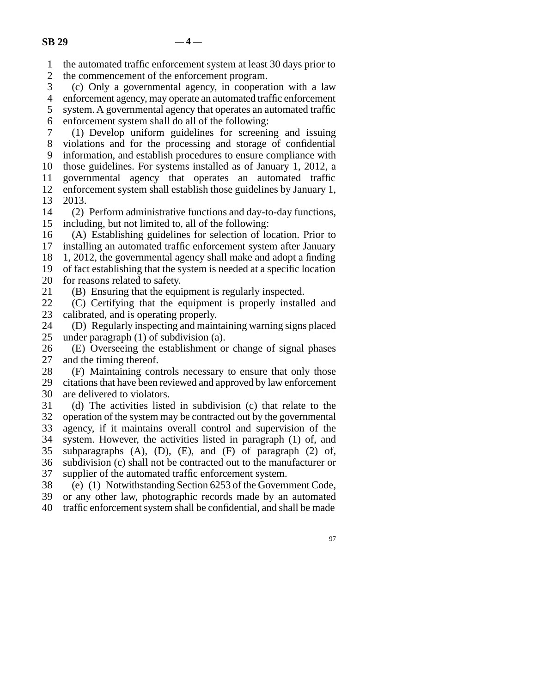1 the automated traffic enforcement system at least 30 days prior to

2 the commencement of the enforcement program.

3 4 (c) Only a governmental agency, in cooperation with a law enforcement agency, may operate an automated traffic enforcement

5 6 system. A governmental agency that operates an automated traffic enforcement system shall do all of the following:

7 8 9 10 11 12 (1) Develop uniform guidelines for screening and issuing violations and for the processing and storage of confidential information, and establish procedures to ensure compliance with those guidelines. For systems installed as of January 1, 2012, a governmental agency that operates an automated traffic enforcement system shall establish those guidelines by January 1,

13 2013.

14 15 (2) Perform administrative functions and day-to-day functions, including, but not limited to, all of the following:

16 (A) Establishing guidelines for selection of location. Prior to

17 installing an automated traffic enforcement system after January

18 19 1, 2012, the governmental agency shall make and adopt a finding of fact establishing that the system is needed at a specific location

20 for reasons related to safety.

21 (B) Ensuring that the equipment is regularly inspected.

22 23 (C) Certifying that the equipment is properly installed and calibrated, and is operating properly.

24 25 (D) Regularly inspecting and maintaining warning signs placed under paragraph (1) of subdivision (a).

26 27 (E) Overseeing the establishment or change of signal phases and the timing thereof.

28 29 30 (F) Maintaining controls necessary to ensure that only those citations that have been reviewed and approved by law enforcement are delivered to violators.

31 32 33 34 35 36 37 (d) The activities listed in subdivision (c) that relate to the operation of the system may be contracted out by the governmental agency, if it maintains overall control and supervision of the system. However, the activities listed in paragraph (1) of, and subparagraphs  $(A)$ ,  $(D)$ ,  $(E)$ , and  $(F)$  of paragraph  $(2)$  of, subdivision (c) shall not be contracted out to the manufacturer or supplier of the automated traffic enforcement system.

38 (e) (1) Notwithstanding Section 6253 of the Government Code,

39 or any other law, photographic records made by an automated

40 traffic enforcement system shall be confidential, and shall be made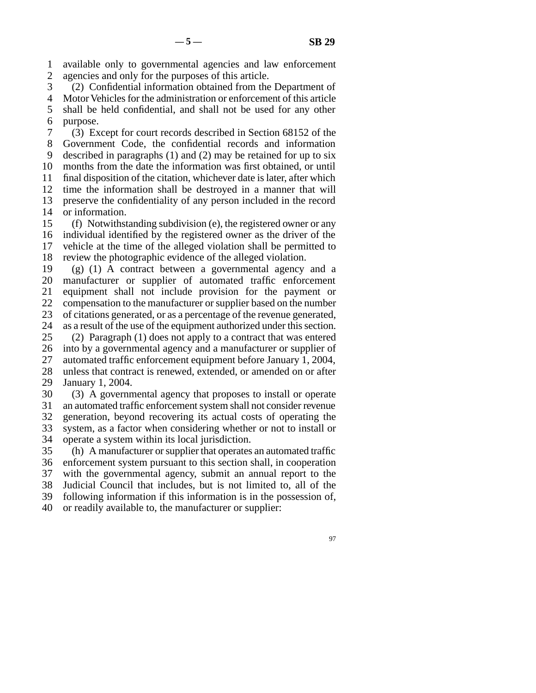1 2 available only to governmental agencies and law enforcement agencies and only for the purposes of this article.

3 4 (2) Confidential information obtained from the Department of Motor Vehicles for the administration or enforcement of this article

5 6 shall be held confidential, and shall not be used for any other purpose.

7 8 9 10 11 12 13 14 (3) Except for court records described in Section 68152 of the Government Code, the confidential records and information described in paragraphs (1) and (2) may be retained for up to six months from the date the information was first obtained, or until final disposition of the citation, whichever date is later, after which time the information shall be destroyed in a manner that will preserve the confidentiality of any person included in the record or information.

15 16 17 18 (f) Notwithstanding subdivision (e), the registered owner or any individual identified by the registered owner as the driver of the vehicle at the time of the alleged violation shall be permitted to review the photographic evidence of the alleged violation.

19 20 21 22 23 24 (g) (1) A contract between a governmental agency and a manufacturer or supplier of automated traffic enforcement equipment shall not include provision for the payment or compensation to the manufacturer or supplier based on the number of citations generated, or as a percentage of the revenue generated, as a result of the use of the equipment authorized under this section.

25 26 27 28 (2) Paragraph (1) does not apply to a contract that was entered into by a governmental agency and a manufacturer or supplier of automated traffic enforcement equipment before January 1, 2004, unless that contract is renewed, extended, or amended on or after

29 January 1, 2004.

30 31 (3) A governmental agency that proposes to install or operate an automated traffic enforcement system shall not consider revenue

32 generation, beyond recovering its actual costs of operating the

33 system, as a factor when considering whether or not to install or

34 operate a system within its local jurisdiction.

35 36 37 38 39 40 (h) A manufacturer or supplier that operates an automated traffic enforcement system pursuant to this section shall, in cooperation with the governmental agency, submit an annual report to the Judicial Council that includes, but is not limited to, all of the following information if this information is in the possession of, or readily available to, the manufacturer or supplier: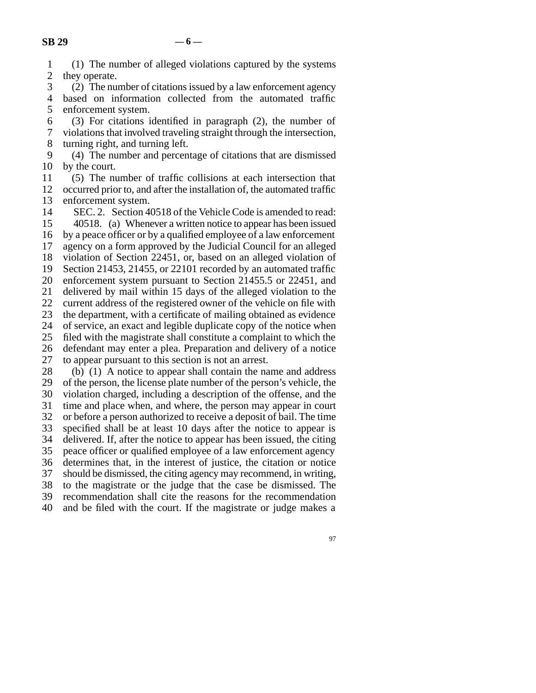| $\mathbf{1}$ | (1) The number of alleged violations captured by the systems     |
|--------------|------------------------------------------------------------------|
|              | 2 they operate.                                                  |
|              | 3 (2) The number of citations issued by a law enforcement agency |
|              | 4 based on information collected from the automated traffic      |

5 6 7 8 enforcement system. (3) For citations identified in paragraph (2), the number of violations that involved traveling straight through the intersection, turning right, and turning left.

9 10 (4) The number and percentage of citations that are dismissed by the court.

11 12 13 (5) The number of traffic collisions at each intersection that occurred prior to, and after the installation of, the automated traffic enforcement system.

14 15 16 17 18 19 20 21 22 23 24 25 26 27 28 29 SEC. 2. Section 40518 of the Vehicle Code is amended to read: 40518. (a) Whenever a written notice to appear has been issued by a peace officer or by a qualified employee of a law enforcement agency on a form approved by the Judicial Council for an alleged violation of Section 22451, or, based on an alleged violation of Section 21453, 21455, or 22101 recorded by an automated traffic enforcement system pursuant to Section 21455.5 or 22451, and delivered by mail within 15 days of the alleged violation to the current address of the registered owner of the vehicle on file with the department, with a certificate of mailing obtained as evidence of service, an exact and legible duplicate copy of the notice when filed with the magistrate shall constitute a complaint to which the defendant may enter a plea. Preparation and delivery of a notice to appear pursuant to this section is not an arrest. (b) (1) A notice to appear shall contain the name and address of the person, the license plate number of the person's vehicle, the

30 31 32 33 34 35 36 37 38 39 40 violation charged, including a description of the offense, and the time and place when, and where, the person may appear in court or before a person authorized to receive a deposit of bail. The time specified shall be at least 10 days after the notice to appear is delivered. If, after the notice to appear has been issued, the citing peace officer or qualified employee of a law enforcement agency determines that, in the interest of justice, the citation or notice should be dismissed, the citing agency may recommend, in writing, to the magistrate or the judge that the case be dismissed. The recommendation shall cite the reasons for the recommendation and be filed with the court. If the magistrate or judge makes a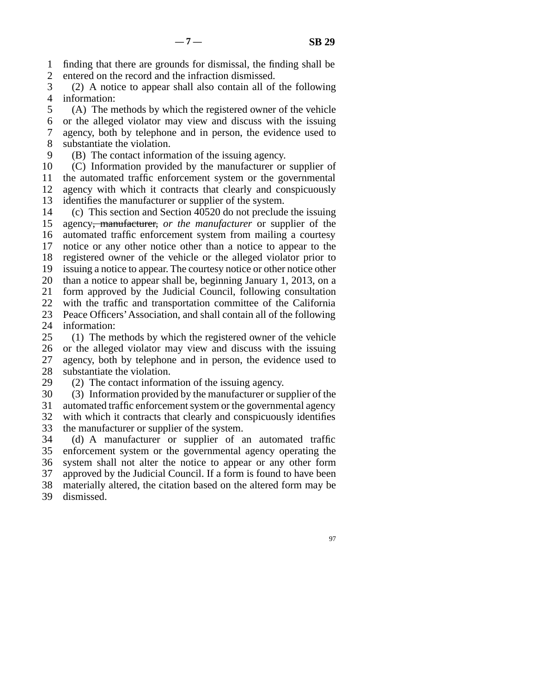1 2 finding that there are grounds for dismissal, the finding shall be entered on the record and the infraction dismissed.

3 4 (2) A notice to appear shall also contain all of the following information:

5 6 7 8 (A) The methods by which the registered owner of the vehicle or the alleged violator may view and discuss with the issuing agency, both by telephone and in person, the evidence used to substantiate the violation.

9 (B) The contact information of the issuing agency.

10 11 12 13 (C) Information provided by the manufacturer or supplier of the automated traffic enforcement system or the governmental agency with which it contracts that clearly and conspicuously identifies the manufacturer or supplier of the system.

14 15 16 17 18 19 20 21 22 23 (c) This section and Section 40520 do not preclude the issuing agency, manufacturer, *or the manufacturer* or supplier of the automated traffic enforcement system from mailing a courtesy notice or any other notice other than a notice to appear to the registered owner of the vehicle or the alleged violator prior to issuing a notice to appear. The courtesy notice or other notice other than a notice to appear shall be, beginning January 1, 2013, on a form approved by the Judicial Council, following consultation with the traffic and transportation committee of the California Peace Officers'Association, and shall contain all of the following

24 information:

25 26 27 28 (1) The methods by which the registered owner of the vehicle or the alleged violator may view and discuss with the issuing agency, both by telephone and in person, the evidence used to substantiate the violation.

29 (2) The contact information of the issuing agency.

30 (3) Information provided by the manufacturer or supplier of the

31 automated traffic enforcement system or the governmental agency

32 33 with which it contracts that clearly and conspicuously identifies the manufacturer or supplier of the system.

34 35 36 37 38 39 (d) A manufacturer or supplier of an automated traffic enforcement system or the governmental agency operating the system shall not alter the notice to appear or any other form approved by the Judicial Council. If a form is found to have been materially altered, the citation based on the altered form may be dismissed.